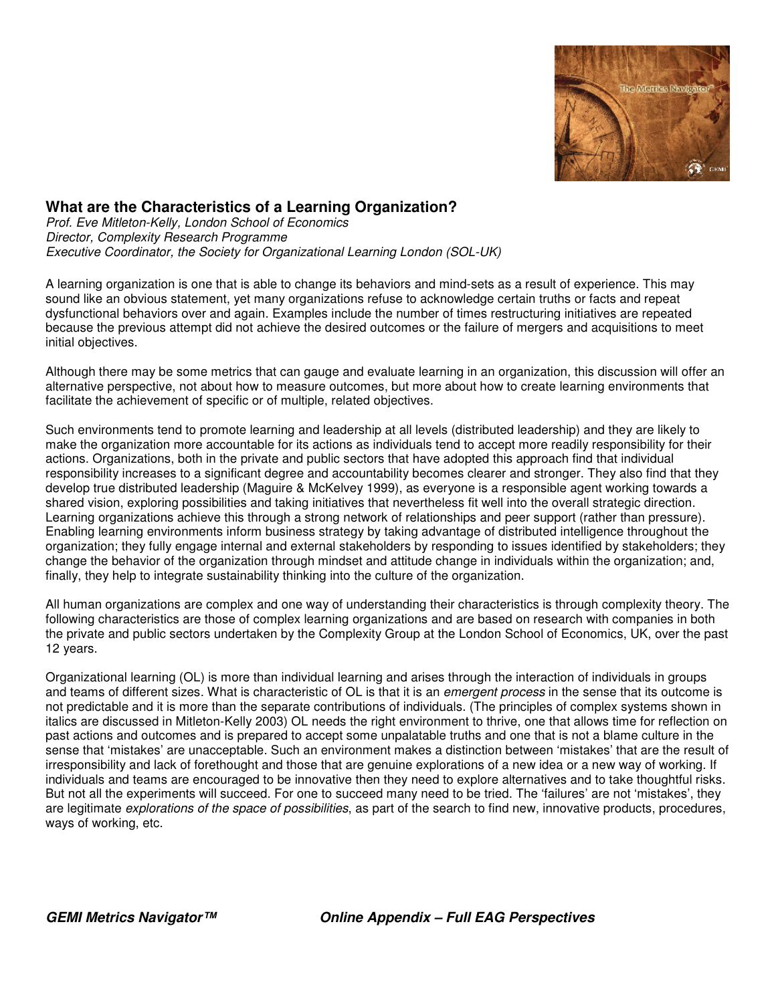

## **What are the Characteristics of a Learning Organization?**

*Prof. Eve Mitleton-Kelly, London School of Economics Director, Complexity Research Programme Executive Coordinator, the Society for Organizational Learning London (SOL-UK)*

A learning organization is one that is able to change its behaviors and mind-sets as a result of experience. This may sound like an obvious statement, yet many organizations refuse to acknowledge certain truths or facts and repeat dysfunctional behaviors over and again. Examples include the number of times restructuring initiatives are repeated because the previous attempt did not achieve the desired outcomes or the failure of mergers and acquisitions to meet initial objectives.

Although there may be some metrics that can gauge and evaluate learning in an organization, this discussion will offer an alternative perspective, not about how to measure outcomes, but more about how to create learning environments that facilitate the achievement of specific or of multiple, related objectives.

Such environments tend to promote learning and leadership at all levels (distributed leadership) and they are likely to make the organization more accountable for its actions as individuals tend to accept more readily responsibility for their actions. Organizations, both in the private and public sectors that have adopted this approach find that individual responsibility increases to a significant degree and accountability becomes clearer and stronger. They also find that they develop true distributed leadership (Maguire & McKelvey 1999), as everyone is a responsible agent working towards a shared vision, exploring possibilities and taking initiatives that nevertheless fit well into the overall strategic direction. Learning organizations achieve this through a strong network of relationships and peer support (rather than pressure). Enabling learning environments inform business strategy by taking advantage of distributed intelligence throughout the organization; they fully engage internal and external stakeholders by responding to issues identified by stakeholders; they change the behavior of the organization through mindset and attitude change in individuals within the organization; and, finally, they help to integrate sustainability thinking into the culture of the organization.

All human organizations are complex and one way of understanding their characteristics is through complexity theory. The following characteristics are those of complex learning organizations and are based on research with companies in both the private and public sectors undertaken by the Complexity Group at the London School of Economics, UK, over the past 12 years.

Organizational learning (OL) is more than individual learning and arises through the interaction of individuals in groups and teams of different sizes. What is characteristic of OL is that it is an *emergent process* in the sense that its outcome is not predictable and it is more than the separate contributions of individuals. (The principles of complex systems shown in italics are discussed in Mitleton-Kelly 2003) OL needs the right environment to thrive, one that allows time for reflection on past actions and outcomes and is prepared to accept some unpalatable truths and one that is not a blame culture in the sense that 'mistakes' are unacceptable. Such an environment makes a distinction between 'mistakes' that are the result of irresponsibility and lack of forethought and those that are genuine explorations of a new idea or a new way of working. If individuals and teams are encouraged to be innovative then they need to explore alternatives and to take thoughtful risks. But not all the experiments will succeed. For one to succeed many need to be tried. The 'failures' are not 'mistakes', they are legitimate *explorations of the space of possibilities*, as part of the search to find new, innovative products, procedures, ways of working, etc.

*GEMI Metrics Navigator™ Online Appendix – Full EAG Perspectives*